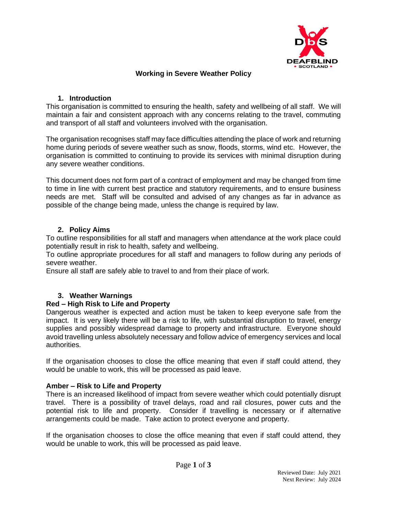

# **Working in Severe Weather Policy**

# **1. Introduction**

This organisation is committed to ensuring the health, safety and wellbeing of all staff. We will maintain a fair and consistent approach with any concerns relating to the travel, commuting and transport of all staff and volunteers involved with the organisation.

The organisation recognises staff may face difficulties attending the place of work and returning home during periods of severe weather such as snow, floods, storms, wind etc. However, the organisation is committed to continuing to provide its services with minimal disruption during any severe weather conditions.

This document does not form part of a contract of employment and may be changed from time to time in line with current best practice and statutory requirements, and to ensure business needs are met. Staff will be consulted and advised of any changes as far in advance as possible of the change being made, unless the change is required by law.

# **2. Policy Aims**

To outline responsibilities for all staff and managers when attendance at the work place could potentially result in risk to health, safety and wellbeing.

To outline appropriate procedures for all staff and managers to follow during any periods of severe weather.

Ensure all staff are safely able to travel to and from their place of work.

# **3. Weather Warnings**

## **Red – High Risk to Life and Property**

Dangerous weather is expected and action must be taken to keep everyone safe from the impact. It is very likely there will be a risk to life, with substantial disruption to travel, energy supplies and possibly widespread damage to property and infrastructure. Everyone should avoid travelling unless absolutely necessary and follow advice of emergency services and local authorities.

If the organisation chooses to close the office meaning that even if staff could attend, they would be unable to work, this will be processed as paid leave.

## **Amber – Risk to Life and Property**

There is an increased likelihood of impact from severe weather which could potentially disrupt travel. There is a possibility of travel delays, road and rail closures, power cuts and the potential risk to life and property. Consider if travelling is necessary or if alternative arrangements could be made. Take action to protect everyone and property.

If the organisation chooses to close the office meaning that even if staff could attend, they would be unable to work, this will be processed as paid leave.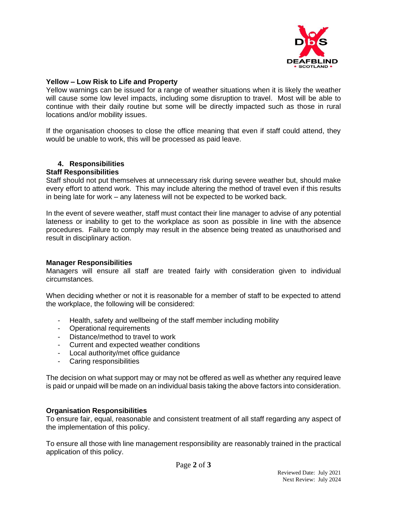

## **Yellow – Low Risk to Life and Property**

Yellow warnings can be issued for a range of weather situations when it is likely the weather will cause some low level impacts, including some disruption to travel. Most will be able to continue with their daily routine but some will be directly impacted such as those in rural locations and/or mobility issues.

If the organisation chooses to close the office meaning that even if staff could attend, they would be unable to work, this will be processed as paid leave.

## **4. Responsibilities**

## **Staff Responsibilities**

Staff should not put themselves at unnecessary risk during severe weather but, should make every effort to attend work. This may include altering the method of travel even if this results in being late for work – any lateness will not be expected to be worked back.

In the event of severe weather, staff must contact their line manager to advise of any potential lateness or inability to get to the workplace as soon as possible in line with the absence procedures. Failure to comply may result in the absence being treated as unauthorised and result in disciplinary action.

## **Manager Responsibilities**

Managers will ensure all staff are treated fairly with consideration given to individual circumstances.

When deciding whether or not it is reasonable for a member of staff to be expected to attend the workplace, the following will be considered:

- Health, safety and wellbeing of the staff member including mobility
- Operational requirements
- Distance/method to travel to work
- Current and expected weather conditions
- Local authority/met office guidance
- Caring responsibilities

The decision on what support may or may not be offered as well as whether any required leave is paid or unpaid will be made on an individual basis taking the above factors into consideration.

#### **Organisation Responsibilities**

To ensure fair, equal, reasonable and consistent treatment of all staff regarding any aspect of the implementation of this policy.

To ensure all those with line management responsibility are reasonably trained in the practical application of this policy.